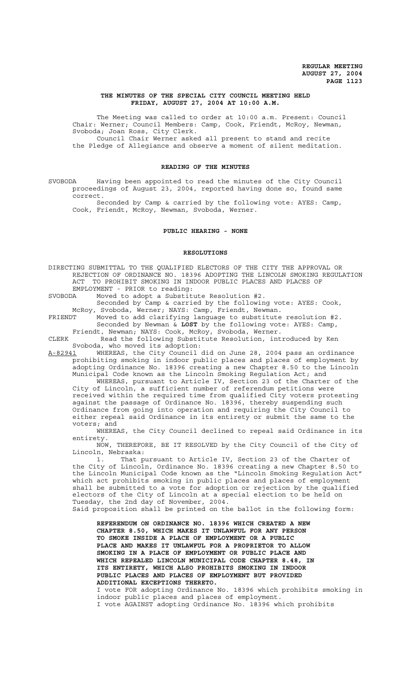# **THE MINUTES OF THE SPECIAL CITY COUNCIL MEETING HELD FRIDAY, AUGUST 27, 2004 AT 10:00 A.M.**

The Meeting was called to order at 10:00 a.m. Present: Council Chair: Werner; Council Members: Camp, Cook, Friendt, McRoy, Newman, Svoboda; Joan Ross, City Clerk.

Council Chair Werner asked all present to stand and recite the Pledge of Allegiance and observe a moment of silent meditation.

### **READING OF THE MINUTES**

SVOBODA Having been appointed to read the minutes of the City Council proceedings of August 23, 2004, reported having done so, found same correct.

Seconded by Camp & carried by the following vote: AYES: Camp, Cook, Friendt, McRoy, Newman, Svoboda, Werner.

## **PUBLIC HEARING - NONE**

#### **RESOLUTIONS**

DIRECTING SUBMITTAL TO THE QUALIFIED ELECTORS OF THE CITY THE APPROVAL OR REJECTION OF ORDINANCE NO. 18396 ADOPTING THE LINCOLN SMOKING REGULATION ACT TO PROHIBIT SMOKING IN INDOOR PUBLIC PLACES AND PLACES OF EMPLOYMENT - PRIOR to reading:

SVOBODA Moved to adopt a Substitute Resolution #2.

Seconded by Camp & carried by the following vote: AYES: Cook, McRoy, Svoboda, Werner; NAYS: Camp, Friendt, Newman.

FRIENDT Moved to add clarifying language to substitute resolution #2. Seconded by Newman & **LOST** by the following vote: AYES: Camp, Friendt, Newman; NAYS: Cook, McRoy, Svoboda, Werner.

CLERK Read the following Substitute Resolution, introduced by Ken Svoboda, who moved its adoption:

A-82941 WHEREAS, the City Council did on June 28, 2004 pass an ordinance prohibiting smoking in indoor public places and places of employment by adopting Ordinance No. 18396 creating a new Chapter 8.50 to the Lincoln Municipal Code known as the Lincoln Smoking Regulation Act; and WHEREAS, pursuant to Article IV, Section 23 of the Charter of the

City of Lincoln, a sufficient number of referendum petitions were received within the required time from qualified City voters protesting against the passage of Ordinance No. 18396, thereby suspending such Ordinance from going into operation and requiring the City Council to either repeal said Ordinance in its entirety or submit the same to the voters; and

WHEREAS, the City Council declined to repeal said Ordinance in its entirety.

NOW, THEREFORE, BE IT RESOLVED by the City Council of the City of Lincoln, Nebraska:

1. That pursuant to Article IV, Section 23 of the Charter of the City of Lincoln, Ordinance No. 18396 creating a new Chapter 8.50 to the Lincoln Municipal Code known as the "Lincoln Smoking Regulation Act" which act prohibits smoking in public places and places of employment shall be submitted to a vote for adoption or rejection by the qualified electors of the City of Lincoln at a special election to be held on Tuesday, the 2nd day of November, 2004.

Said proposition shall be printed on the ballot in the following form:

**REFERENDUM ON ORDINANCE NO. 18396 WHICH CREATED A NEW CHAPTER 8.50, WHICH MAKES IT UNLAWFUL FOR ANY PERSON TO SMOKE INSIDE A PLACE OF EMPLOYMENT OR A PUBLIC PLACE AND MAKES IT UNLAWFUL FOR A PROPRIETOR TO ALLOW SMOKING IN A PLACE OF EMPLOYMENT OR PUBLIC PLACE AND WHICH REPEALED LINCOLN MUNICIPAL CODE CHAPTER 8.48, IN ITS ENTIRETY, WHICH ALSO PROHIBITS SMOKING IN INDOOR PUBLIC PLACES AND PLACES OF EMPLOYMENT BUT PROVIDED ADDITIONAL EXCEPTIONS THERETO.**

 I vote FOR adopting Ordinance No. 18396 which prohibits smoking in indoor public places and places of employment. I vote AGAINST adopting Ordinance No. 18396 which prohibits